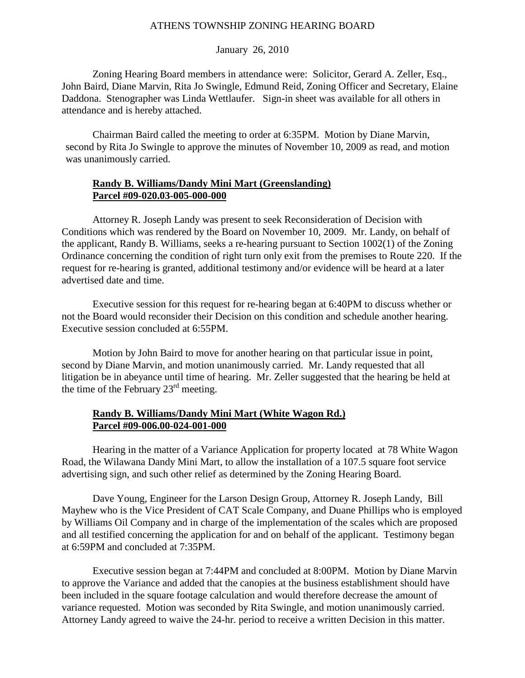### January 26, 2010

Zoning Hearing Board members in attendance were: Solicitor, Gerard A. Zeller, Esq., John Baird, Diane Marvin, Rita Jo Swingle, Edmund Reid, Zoning Officer and Secretary, Elaine Daddona. Stenographer was Linda Wettlaufer. Sign-in sheet was available for all others in attendance and is hereby attached.

Chairman Baird called the meeting to order at 6:35PM. Motion by Diane Marvin, second by Rita Jo Swingle to approve the minutes of November 10, 2009 as read, and motion was unanimously carried.

## **Randy B. Williams/Dandy Mini Mart (Greenslanding) Parcel #09-020.03-005-000-000**

 Attorney R. Joseph Landy was present to seek Reconsideration of Decision with Conditions which was rendered by the Board on November 10, 2009. Mr. Landy, on behalf of the applicant, Randy B. Williams, seeks a re-hearing pursuant to Section 1002(1) of the Zoning Ordinance concerning the condition of right turn only exit from the premises to Route 220. If the request for re-hearing is granted, additional testimony and/or evidence will be heard at a later advertised date and time.

 Executive session for this request for re-hearing began at 6:40PM to discuss whether or not the Board would reconsider their Decision on this condition and schedule another hearing. Executive session concluded at 6:55PM.

 Motion by John Baird to move for another hearing on that particular issue in point, second by Diane Marvin, and motion unanimously carried. Mr. Landy requested that all litigation be in abeyance until time of hearing. Mr. Zeller suggested that the hearing be held at the time of the February  $23<sup>rd</sup>$  meeting.

### **Randy B. Williams/Dandy Mini Mart (White Wagon Rd.) Parcel #09-006.00-024-001-000**

 Hearing in the matter of a Variance Application for property located at 78 White Wagon Road, the Wilawana Dandy Mini Mart, to allow the installation of a 107.5 square foot service advertising sign, and such other relief as determined by the Zoning Hearing Board.

 Dave Young, Engineer for the Larson Design Group, Attorney R. Joseph Landy, Bill Mayhew who is the Vice President of CAT Scale Company, and Duane Phillips who is employed by Williams Oil Company and in charge of the implementation of the scales which are proposed and all testified concerning the application for and on behalf of the applicant. Testimony began at 6:59PM and concluded at 7:35PM.

 Executive session began at 7:44PM and concluded at 8:00PM. Motion by Diane Marvin to approve the Variance and added that the canopies at the business establishment should have been included in the square footage calculation and would therefore decrease the amount of variance requested. Motion was seconded by Rita Swingle, and motion unanimously carried. Attorney Landy agreed to waive the 24-hr. period to receive a written Decision in this matter.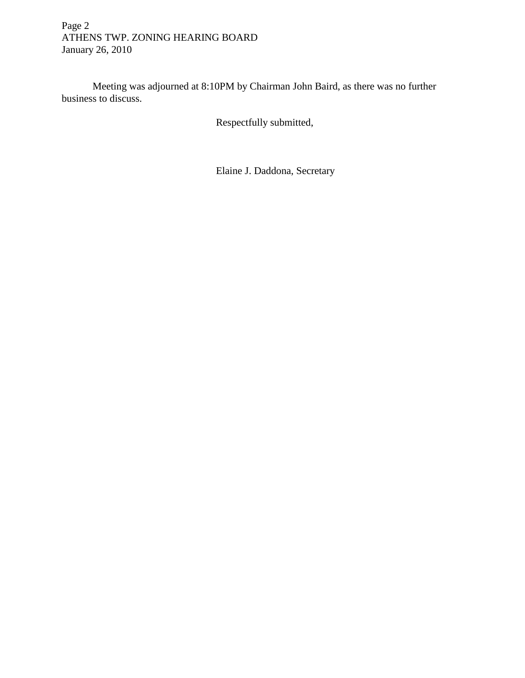# Page 2 ATHENS TWP. ZONING HEARING BOARD January 26, 2010

 Meeting was adjourned at 8:10PM by Chairman John Baird, as there was no further business to discuss.

Respectfully submitted,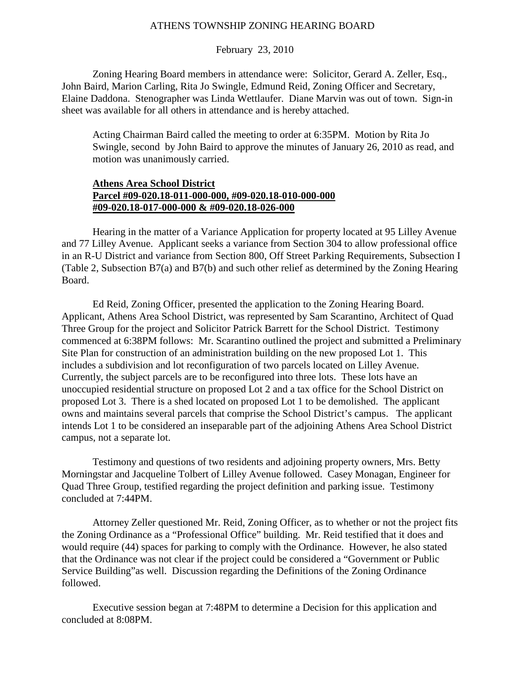### February 23, 2010

Zoning Hearing Board members in attendance were: Solicitor, Gerard A. Zeller, Esq., John Baird, Marion Carling, Rita Jo Swingle, Edmund Reid, Zoning Officer and Secretary, Elaine Daddona. Stenographer was Linda Wettlaufer. Diane Marvin was out of town. Sign-in sheet was available for all others in attendance and is hereby attached.

Acting Chairman Baird called the meeting to order at 6:35PM. Motion by Rita Jo Swingle, second by John Baird to approve the minutes of January 26, 2010 as read, and motion was unanimously carried.

### **Athens Area School District Parcel #09-020.18-011-000-000, #09-020.18-010-000-000 #09-020.18-017-000-000 & #09-020.18-026-000**

 Hearing in the matter of a Variance Application for property located at 95 Lilley Avenue and 77 Lilley Avenue. Applicant seeks a variance from Section 304 to allow professional office in an R-U District and variance from Section 800, Off Street Parking Requirements, Subsection I (Table 2, Subsection B7(a) and B7(b) and such other relief as determined by the Zoning Hearing Board.

 Ed Reid, Zoning Officer, presented the application to the Zoning Hearing Board. Applicant, Athens Area School District, was represented by Sam Scarantino, Architect of Quad Three Group for the project and Solicitor Patrick Barrett for the School District. Testimony commenced at 6:38PM follows: Mr. Scarantino outlined the project and submitted a Preliminary Site Plan for construction of an administration building on the new proposed Lot 1. This includes a subdivision and lot reconfiguration of two parcels located on Lilley Avenue. Currently, the subject parcels are to be reconfigured into three lots. These lots have an unoccupied residential structure on proposed Lot 2 and a tax office for the School District on proposed Lot 3. There is a shed located on proposed Lot 1 to be demolished. The applicant owns and maintains several parcels that comprise the School District's campus. The applicant intends Lot 1 to be considered an inseparable part of the adjoining Athens Area School District campus, not a separate lot.

 Testimony and questions of two residents and adjoining property owners, Mrs. Betty Morningstar and Jacqueline Tolbert of Lilley Avenue followed. Casey Monagan, Engineer for Quad Three Group, testified regarding the project definition and parking issue. Testimony concluded at 7:44PM.

 Attorney Zeller questioned Mr. Reid, Zoning Officer, as to whether or not the project fits the Zoning Ordinance as a "Professional Office" building. Mr. Reid testified that it does and would require (44) spaces for parking to comply with the Ordinance. However, he also stated that the Ordinance was not clear if the project could be considered a "Government or Public Service Building"as well. Discussion regarding the Definitions of the Zoning Ordinance followed.

 Executive session began at 7:48PM to determine a Decision for this application and concluded at 8:08PM.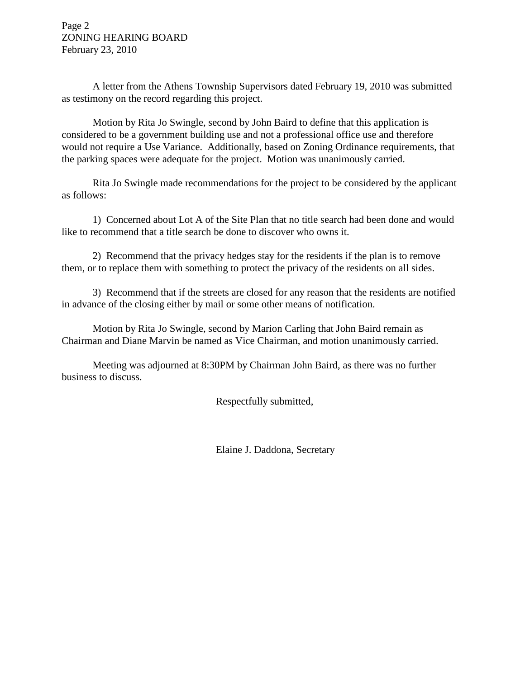Page 2 ZONING HEARING BOARD February 23, 2010

 A letter from the Athens Township Supervisors dated February 19, 2010 was submitted as testimony on the record regarding this project.

 Motion by Rita Jo Swingle, second by John Baird to define that this application is considered to be a government building use and not a professional office use and therefore would not require a Use Variance. Additionally, based on Zoning Ordinance requirements, that the parking spaces were adequate for the project. Motion was unanimously carried.

 Rita Jo Swingle made recommendations for the project to be considered by the applicant as follows:

 1) Concerned about Lot A of the Site Plan that no title search had been done and would like to recommend that a title search be done to discover who owns it.

 2) Recommend that the privacy hedges stay for the residents if the plan is to remove them, or to replace them with something to protect the privacy of the residents on all sides.

 3) Recommend that if the streets are closed for any reason that the residents are notified in advance of the closing either by mail or some other means of notification.

 Motion by Rita Jo Swingle, second by Marion Carling that John Baird remain as Chairman and Diane Marvin be named as Vice Chairman, and motion unanimously carried.

 Meeting was adjourned at 8:30PM by Chairman John Baird, as there was no further business to discuss.

Respectfully submitted,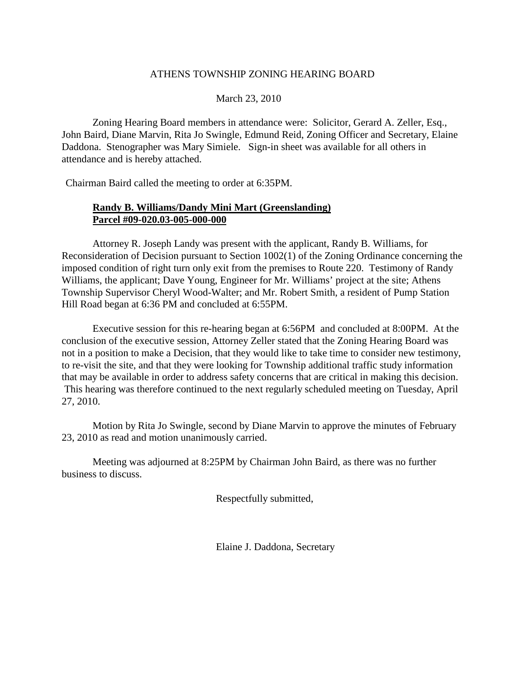### March 23, 2010

Zoning Hearing Board members in attendance were: Solicitor, Gerard A. Zeller, Esq., John Baird, Diane Marvin, Rita Jo Swingle, Edmund Reid, Zoning Officer and Secretary, Elaine Daddona. Stenographer was Mary Simiele. Sign-in sheet was available for all others in attendance and is hereby attached.

Chairman Baird called the meeting to order at 6:35PM.

## **Randy B. Williams/Dandy Mini Mart (Greenslanding) Parcel #09-020.03-005-000-000**

 Attorney R. Joseph Landy was present with the applicant, Randy B. Williams, for Reconsideration of Decision pursuant to Section 1002(1) of the Zoning Ordinance concerning the imposed condition of right turn only exit from the premises to Route 220. Testimony of Randy Williams, the applicant; Dave Young, Engineer for Mr. Williams' project at the site; Athens Township Supervisor Cheryl Wood-Walter; and Mr. Robert Smith, a resident of Pump Station Hill Road began at 6:36 PM and concluded at 6:55PM.

 Executive session for this re-hearing began at 6:56PM and concluded at 8:00PM. At the conclusion of the executive session, Attorney Zeller stated that the Zoning Hearing Board was not in a position to make a Decision, that they would like to take time to consider new testimony, to re-visit the site, and that they were looking for Township additional traffic study information that may be available in order to address safety concerns that are critical in making this decision. This hearing was therefore continued to the next regularly scheduled meeting on Tuesday, April 27, 2010.

 Motion by Rita Jo Swingle, second by Diane Marvin to approve the minutes of February 23, 2010 as read and motion unanimously carried.

 Meeting was adjourned at 8:25PM by Chairman John Baird, as there was no further business to discuss.

Respectfully submitted,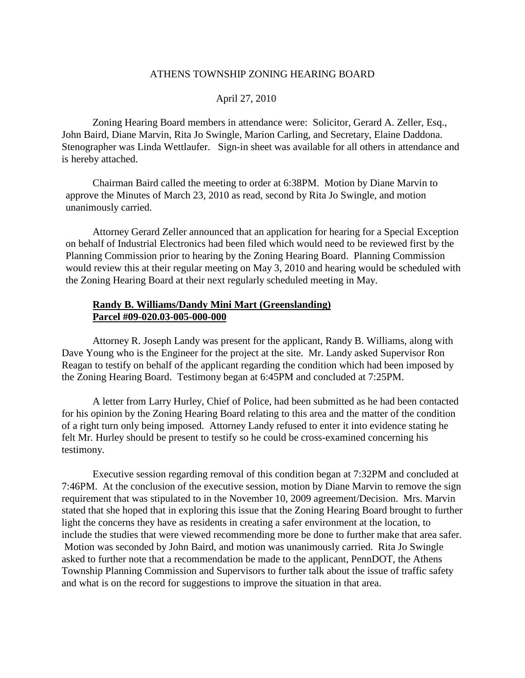#### April 27, 2010

Zoning Hearing Board members in attendance were: Solicitor, Gerard A. Zeller, Esq., John Baird, Diane Marvin, Rita Jo Swingle, Marion Carling, and Secretary, Elaine Daddona. Stenographer was Linda Wettlaufer. Sign-in sheet was available for all others in attendance and is hereby attached.

 Chairman Baird called the meeting to order at 6:38PM. Motion by Diane Marvin to approve the Minutes of March 23, 2010 as read, second by Rita Jo Swingle, and motion unanimously carried.

 Attorney Gerard Zeller announced that an application for hearing for a Special Exception on behalf of Industrial Electronics had been filed which would need to be reviewed first by the Planning Commission prior to hearing by the Zoning Hearing Board. Planning Commission would review this at their regular meeting on May 3, 2010 and hearing would be scheduled with the Zoning Hearing Board at their next regularly scheduled meeting in May.

### **Randy B. Williams/Dandy Mini Mart (Greenslanding) Parcel #09-020.03-005-000-000**

 Attorney R. Joseph Landy was present for the applicant, Randy B. Williams, along with Dave Young who is the Engineer for the project at the site. Mr. Landy asked Supervisor Ron Reagan to testify on behalf of the applicant regarding the condition which had been imposed by the Zoning Hearing Board. Testimony began at 6:45PM and concluded at 7:25PM.

 A letter from Larry Hurley, Chief of Police, had been submitted as he had been contacted for his opinion by the Zoning Hearing Board relating to this area and the matter of the condition of a right turn only being imposed. Attorney Landy refused to enter it into evidence stating he felt Mr. Hurley should be present to testify so he could be cross-examined concerning his testimony.

 Executive session regarding removal of this condition began at 7:32PM and concluded at 7:46PM. At the conclusion of the executive session, motion by Diane Marvin to remove the sign requirement that was stipulated to in the November 10, 2009 agreement/Decision. Mrs. Marvin stated that she hoped that in exploring this issue that the Zoning Hearing Board brought to further light the concerns they have as residents in creating a safer environment at the location, to include the studies that were viewed recommending more be done to further make that area safer. Motion was seconded by John Baird, and motion was unanimously carried. Rita Jo Swingle asked to further note that a recommendation be made to the applicant, PennDOT, the Athens Township Planning Commission and Supervisors to further talk about the issue of traffic safety and what is on the record for suggestions to improve the situation in that area.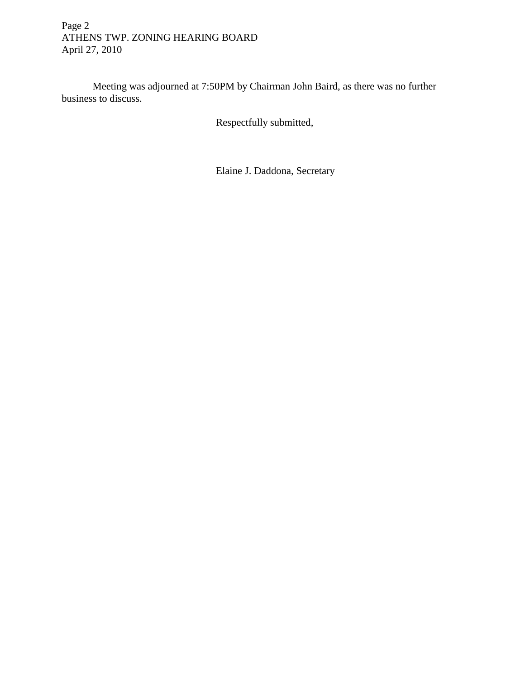# Page 2 ATHENS TWP. ZONING HEARING BOARD April 27, 2010

 Meeting was adjourned at 7:50PM by Chairman John Baird, as there was no further business to discuss.

Respectfully submitted,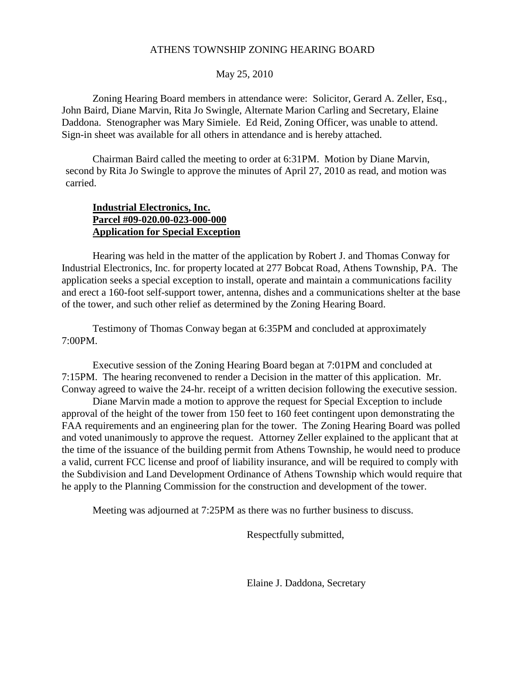#### May 25, 2010

Zoning Hearing Board members in attendance were: Solicitor, Gerard A. Zeller, Esq., John Baird, Diane Marvin, Rita Jo Swingle, Alternate Marion Carling and Secretary, Elaine Daddona. Stenographer was Mary Simiele. Ed Reid, Zoning Officer, was unable to attend. Sign-in sheet was available for all others in attendance and is hereby attached.

Chairman Baird called the meeting to order at 6:31PM. Motion by Diane Marvin, second by Rita Jo Swingle to approve the minutes of April 27, 2010 as read, and motion was carried.

## **Industrial Electronics, Inc. Parcel #09-020.00-023-000-000 Application for Special Exception**

 Hearing was held in the matter of the application by Robert J. and Thomas Conway for Industrial Electronics, Inc. for property located at 277 Bobcat Road, Athens Township, PA. The application seeks a special exception to install, operate and maintain a communications facility and erect a 160-foot self-support tower, antenna, dishes and a communications shelter at the base of the tower, and such other relief as determined by the Zoning Hearing Board.

 Testimony of Thomas Conway began at 6:35PM and concluded at approximately 7:00PM.

 Executive session of the Zoning Hearing Board began at 7:01PM and concluded at 7:15PM. The hearing reconvened to render a Decision in the matter of this application. Mr. Conway agreed to waive the 24-hr. receipt of a written decision following the executive session.

 Diane Marvin made a motion to approve the request for Special Exception to include approval of the height of the tower from 150 feet to 160 feet contingent upon demonstrating the FAA requirements and an engineering plan for the tower. The Zoning Hearing Board was polled and voted unanimously to approve the request. Attorney Zeller explained to the applicant that at the time of the issuance of the building permit from Athens Township, he would need to produce a valid, current FCC license and proof of liability insurance, and will be required to comply with the Subdivision and Land Development Ordinance of Athens Township which would require that he apply to the Planning Commission for the construction and development of the tower.

Meeting was adjourned at 7:25PM as there was no further business to discuss.

Respectfully submitted,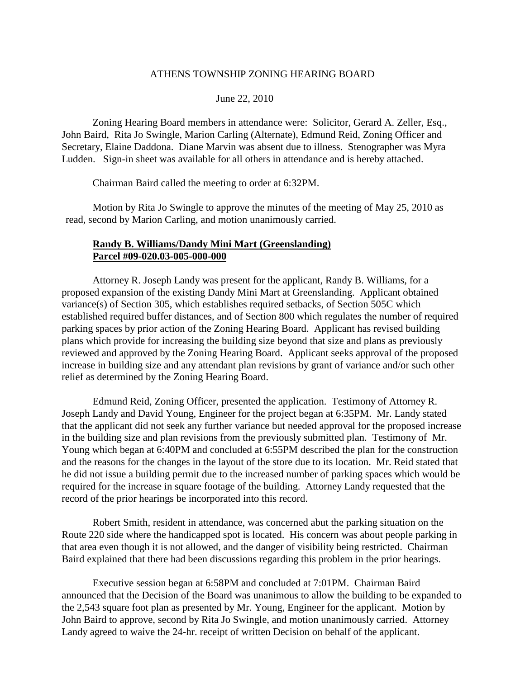#### June 22, 2010

Zoning Hearing Board members in attendance were: Solicitor, Gerard A. Zeller, Esq., John Baird, Rita Jo Swingle, Marion Carling (Alternate), Edmund Reid, Zoning Officer and Secretary, Elaine Daddona. Diane Marvin was absent due to illness. Stenographer was Myra Ludden. Sign-in sheet was available for all others in attendance and is hereby attached.

Chairman Baird called the meeting to order at 6:32PM.

 Motion by Rita Jo Swingle to approve the minutes of the meeting of May 25, 2010 as read, second by Marion Carling, and motion unanimously carried.

### **Randy B. Williams/Dandy Mini Mart (Greenslanding) Parcel #09-020.03-005-000-000**

 Attorney R. Joseph Landy was present for the applicant, Randy B. Williams, for a proposed expansion of the existing Dandy Mini Mart at Greenslanding. Applicant obtained variance(s) of Section 305, which establishes required setbacks, of Section 505C which established required buffer distances, and of Section 800 which regulates the number of required parking spaces by prior action of the Zoning Hearing Board. Applicant has revised building plans which provide for increasing the building size beyond that size and plans as previously reviewed and approved by the Zoning Hearing Board. Applicant seeks approval of the proposed increase in building size and any attendant plan revisions by grant of variance and/or such other relief as determined by the Zoning Hearing Board.

 Edmund Reid, Zoning Officer, presented the application. Testimony of Attorney R. Joseph Landy and David Young, Engineer for the project began at 6:35PM. Mr. Landy stated that the applicant did not seek any further variance but needed approval for the proposed increase in the building size and plan revisions from the previously submitted plan. Testimony of Mr. Young which began at 6:40PM and concluded at 6:55PM described the plan for the construction and the reasons for the changes in the layout of the store due to its location. Mr. Reid stated that he did not issue a building permit due to the increased number of parking spaces which would be required for the increase in square footage of the building. Attorney Landy requested that the record of the prior hearings be incorporated into this record.

 Robert Smith, resident in attendance, was concerned abut the parking situation on the Route 220 side where the handicapped spot is located. His concern was about people parking in that area even though it is not allowed, and the danger of visibility being restricted. Chairman Baird explained that there had been discussions regarding this problem in the prior hearings.

 Executive session began at 6:58PM and concluded at 7:01PM. Chairman Baird announced that the Decision of the Board was unanimous to allow the building to be expanded to the 2,543 square foot plan as presented by Mr. Young, Engineer for the applicant. Motion by John Baird to approve, second by Rita Jo Swingle, and motion unanimously carried. Attorney Landy agreed to waive the 24-hr. receipt of written Decision on behalf of the applicant.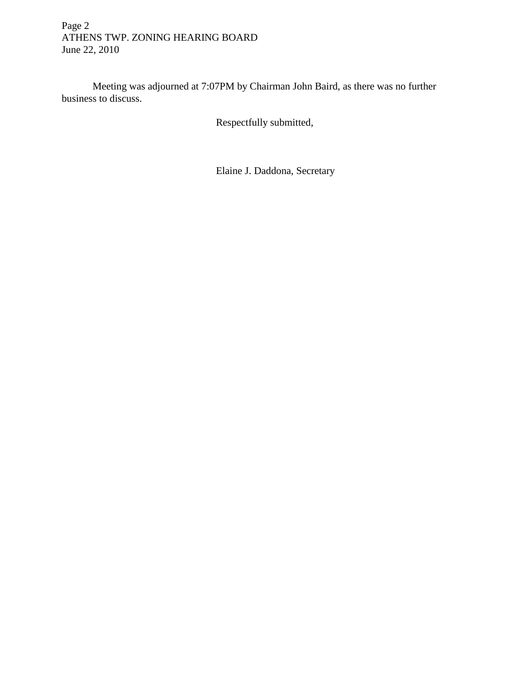# Page 2 ATHENS TWP. ZONING HEARING BOARD June 22, 2010

 Meeting was adjourned at 7:07PM by Chairman John Baird, as there was no further business to discuss.

Respectfully submitted,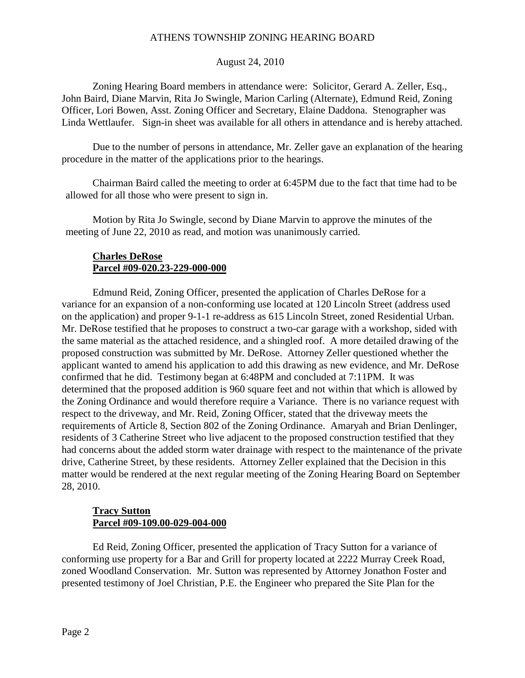### August 24, 2010

Zoning Hearing Board members in attendance were: Solicitor, Gerard A. Zeller, Esq., John Baird, Diane Marvin, Rita Jo Swingle, Marion Carling (Alternate), Edmund Reid, Zoning Officer, Lori Bowen, Asst. Zoning Officer and Secretary, Elaine Daddona. Stenographer was Linda Wettlaufer. Sign-in sheet was available for all others in attendance and is hereby attached.

Due to the number of persons in attendance, Mr. Zeller gave an explanation of the hearing procedure in the matter of the applications prior to the hearings.

 Chairman Baird called the meeting to order at 6:45PM due to the fact that time had to be allowed for all those who were present to sign in.

 Motion by Rita Jo Swingle, second by Diane Marvin to approve the minutes of the meeting of June 22, 2010 as read, and motion was unanimously carried.

## **Charles DeRose Parcel #09-020.23-229-000-000**

 Edmund Reid, Zoning Officer, presented the application of Charles DeRose for a variance for an expansion of a non-conforming use located at 120 Lincoln Street (address used on the application) and proper 9-1-1 re-address as 615 Lincoln Street, zoned Residential Urban. Mr. DeRose testified that he proposes to construct a two-car garage with a workshop, sided with the same material as the attached residence, and a shingled roof. A more detailed drawing of the proposed construction was submitted by Mr. DeRose. Attorney Zeller questioned whether the applicant wanted to amend his application to add this drawing as new evidence, and Mr. DeRose confirmed that he did. Testimony began at 6:48PM and concluded at 7:11PM. It was determined that the proposed addition is 960 square feet and not within that which is allowed by the Zoning Ordinance and would therefore require a Variance. There is no variance request with respect to the driveway, and Mr. Reid, Zoning Officer, stated that the driveway meets the requirements of Article 8, Section 802 of the Zoning Ordinance. Amaryah and Brian Denlinger, residents of 3 Catherine Street who live adjacent to the proposed construction testified that they had concerns about the added storm water drainage with respect to the maintenance of the private drive, Catherine Street, by these residents. Attorney Zeller explained that the Decision in this matter would be rendered at the next regular meeting of the Zoning Hearing Board on September 28, 2010.

### **Tracy Sutton Parcel #09-109.00-029-004-000**

 Ed Reid, Zoning Officer, presented the application of Tracy Sutton for a variance of conforming use property for a Bar and Grill for property located at 2222 Murray Creek Road, zoned Woodland Conservation. Mr. Sutton was represented by Attorney Jonathon Foster and presented testimony of Joel Christian, P.E. the Engineer who prepared the Site Plan for the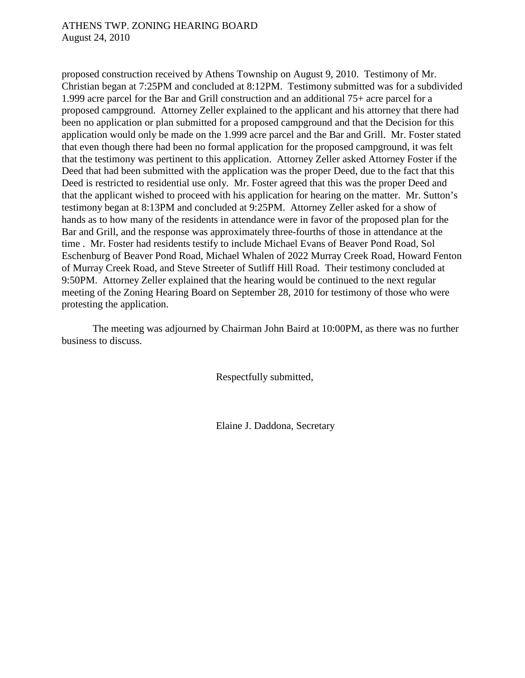proposed construction received by Athens Township on August 9, 2010. Testimony of Mr. Christian began at 7:25PM and concluded at 8:12PM. Testimony submitted was for a subdivided 1.999 acre parcel for the Bar and Grill construction and an additional 75+ acre parcel for a proposed campground. Attorney Zeller explained to the applicant and his attorney that there had been no application or plan submitted for a proposed campground and that the Decision for this application would only be made on the 1.999 acre parcel and the Bar and Grill. Mr. Foster stated that even though there had been no formal application for the proposed campground, it was felt that the testimony was pertinent to this application. Attorney Zeller asked Attorney Foster if the Deed that had been submitted with the application was the proper Deed, due to the fact that this Deed is restricted to residential use only. Mr. Foster agreed that this was the proper Deed and that the applicant wished to proceed with his application for hearing on the matter. Mr. Sutton's testimony began at 8:13PM and concluded at 9:25PM. Attorney Zeller asked for a show of hands as to how many of the residents in attendance were in favor of the proposed plan for the Bar and Grill, and the response was approximately three-fourths of those in attendance at the time . Mr. Foster had residents testify to include Michael Evans of Beaver Pond Road, Sol Eschenburg of Beaver Pond Road, Michael Whalen of 2022 Murray Creek Road, Howard Fenton of Murray Creek Road, and Steve Streeter of Sutliff Hill Road. Their testimony concluded at 9:50PM. Attorney Zeller explained that the hearing would be continued to the next regular meeting of the Zoning Hearing Board on September 28, 2010 for testimony of those who were protesting the application.

 The meeting was adjourned by Chairman John Baird at 10:00PM, as there was no further business to discuss.

Respectfully submitted,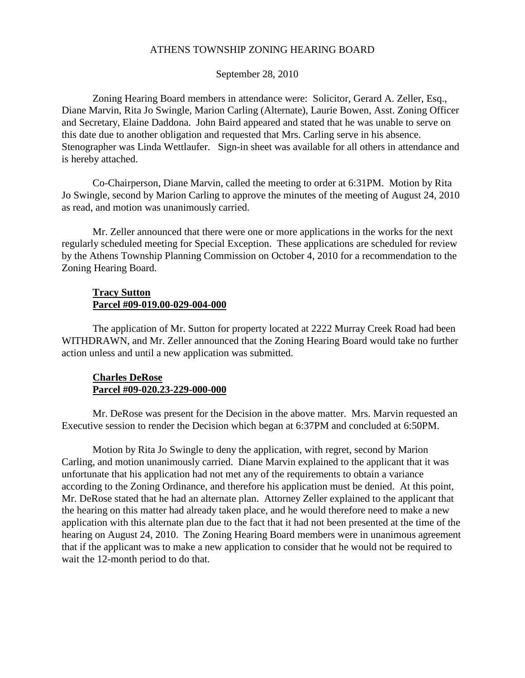September 28, 2010

Zoning Hearing Board members in attendance were: Solicitor, Gerard A. Zeller, Esq., Diane Marvin, Rita Jo Swingle, Marion Carling (Alternate), Laurie Bowen, Asst. Zoning Officer and Secretary, Elaine Daddona. John Baird appeared and stated that he was unable to serve on this date due to another obligation and requested that Mrs. Carling serve in his absence. Stenographer was Linda Wettlaufer. Sign-in sheet was available for all others in attendance and is hereby attached.

Co-Chairperson, Diane Marvin, called the meeting to order at 6:31PM. Motion by Rita Jo Swingle, second by Marion Carling to approve the minutes of the meeting of August 24, 2010 as read, and motion was unanimously carried.

Mr. Zeller announced that there were one or more applications in the works for the next regularly scheduled meeting for Special Exception. These applications are scheduled for review by the Athens Township Planning Commission on October 4, 2010 for a recommendation to the Zoning Hearing Board.

### **Tracy Sutton Parcel #09-019.00-029-004-000**

The application of Mr. Sutton for property located at 2222 Murray Creek Road had been WITHDRAWN, and Mr. Zeller announced that the Zoning Hearing Board would take no further action unless and until a new application was submitted.

### **Charles DeRose Parcel #09-020.23-229-000-000**

 Mr. DeRose was present for the Decision in the above matter. Mrs. Marvin requested an Executive session to render the Decision which began at 6:37PM and concluded at 6:50PM.

 Motion by Rita Jo Swingle to deny the application, with regret, second by Marion Carling, and motion unanimously carried. Diane Marvin explained to the applicant that it was unfortunate that his application had not met any of the requirements to obtain a variance according to the Zoning Ordinance, and therefore his application must be denied. At this point, Mr. DeRose stated that he had an alternate plan. Attorney Zeller explained to the applicant that the hearing on this matter had already taken place, and he would therefore need to make a new application with this alternate plan due to the fact that it had not been presented at the time of the hearing on August 24, 2010. The Zoning Hearing Board members were in unanimous agreement that if the applicant was to make a new application to consider that he would not be required to wait the 12-month period to do that.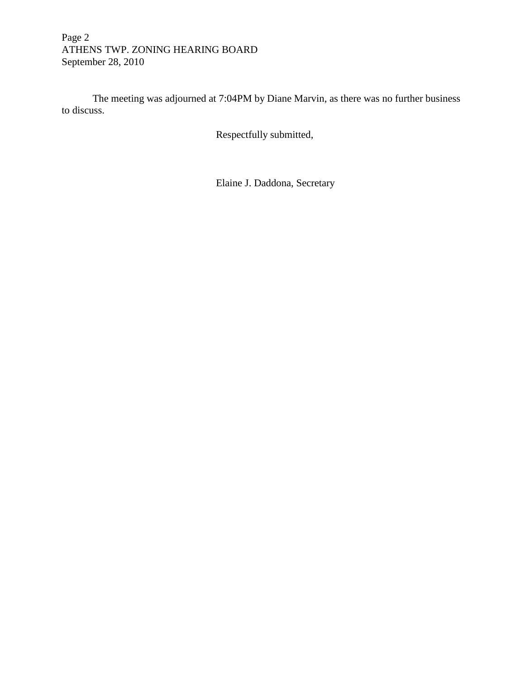# Page 2 ATHENS TWP. ZONING HEARING BOARD September 28, 2010

 The meeting was adjourned at 7:04PM by Diane Marvin, as there was no further business to discuss.

Respectfully submitted,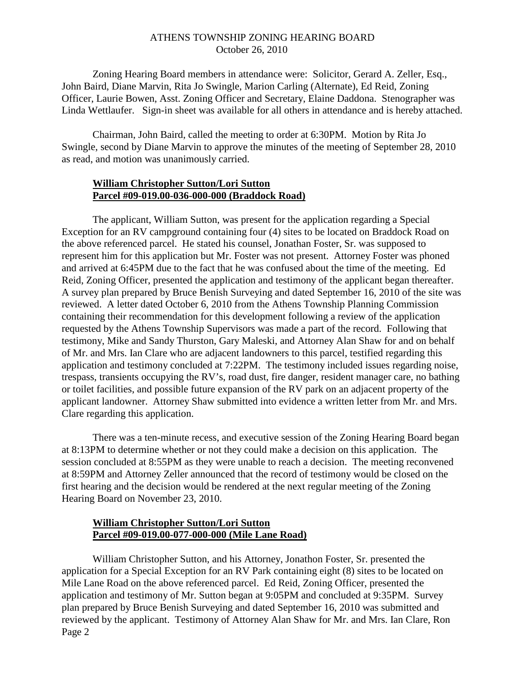## ATHENS TOWNSHIP ZONING HEARING BOARD October 26, 2010

Zoning Hearing Board members in attendance were: Solicitor, Gerard A. Zeller, Esq., John Baird, Diane Marvin, Rita Jo Swingle, Marion Carling (Alternate), Ed Reid, Zoning Officer, Laurie Bowen, Asst. Zoning Officer and Secretary, Elaine Daddona. Stenographer was Linda Wettlaufer. Sign-in sheet was available for all others in attendance and is hereby attached.

Chairman, John Baird, called the meeting to order at 6:30PM. Motion by Rita Jo Swingle, second by Diane Marvin to approve the minutes of the meeting of September 28, 2010 as read, and motion was unanimously carried.

### **William Christopher Sutton/Lori Sutton Parcel #09-019.00-036-000-000 (Braddock Road)**

 The applicant, William Sutton, was present for the application regarding a Special Exception for an RV campground containing four (4) sites to be located on Braddock Road on the above referenced parcel. He stated his counsel, Jonathan Foster, Sr. was supposed to represent him for this application but Mr. Foster was not present. Attorney Foster was phoned and arrived at 6:45PM due to the fact that he was confused about the time of the meeting. Ed Reid, Zoning Officer, presented the application and testimony of the applicant began thereafter. A survey plan prepared by Bruce Benish Surveying and dated September 16, 2010 of the site was reviewed. A letter dated October 6, 2010 from the Athens Township Planning Commission containing their recommendation for this development following a review of the application requested by the Athens Township Supervisors was made a part of the record. Following that testimony, Mike and Sandy Thurston, Gary Maleski, and Attorney Alan Shaw for and on behalf of Mr. and Mrs. Ian Clare who are adjacent landowners to this parcel, testified regarding this application and testimony concluded at 7:22PM. The testimony included issues regarding noise, trespass, transients occupying the RV's, road dust, fire danger, resident manager care, no bathing or toilet facilities, and possible future expansion of the RV park on an adjacent property of the applicant landowner. Attorney Shaw submitted into evidence a written letter from Mr. and Mrs. Clare regarding this application.

 There was a ten-minute recess, and executive session of the Zoning Hearing Board began at 8:13PM to determine whether or not they could make a decision on this application. The session concluded at 8:55PM as they were unable to reach a decision. The meeting reconvened at 8:59PM and Attorney Zeller announced that the record of testimony would be closed on the first hearing and the decision would be rendered at the next regular meeting of the Zoning Hearing Board on November 23, 2010.

## **William Christopher Sutton/Lori Sutton Parcel #09-019.00-077-000-000 (Mile Lane Road)**

 William Christopher Sutton, and his Attorney, Jonathon Foster, Sr. presented the application for a Special Exception for an RV Park containing eight (8) sites to be located on Mile Lane Road on the above referenced parcel. Ed Reid, Zoning Officer, presented the application and testimony of Mr. Sutton began at 9:05PM and concluded at 9:35PM. Survey plan prepared by Bruce Benish Surveying and dated September 16, 2010 was submitted and reviewed by the applicant. Testimony of Attorney Alan Shaw for Mr. and Mrs. Ian Clare, Ron Page 2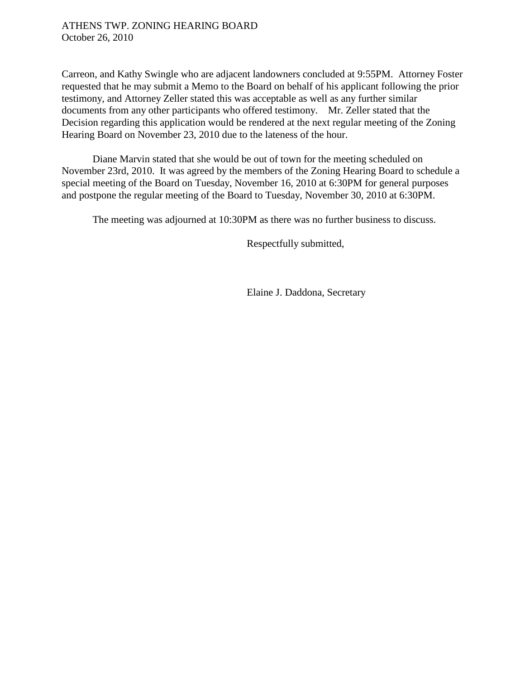## ATHENS TWP. ZONING HEARING BOARD October 26, 2010

Carreon, and Kathy Swingle who are adjacent landowners concluded at 9:55PM. Attorney Foster requested that he may submit a Memo to the Board on behalf of his applicant following the prior testimony, and Attorney Zeller stated this was acceptable as well as any further similar documents from any other participants who offered testimony. Mr. Zeller stated that the Decision regarding this application would be rendered at the next regular meeting of the Zoning Hearing Board on November 23, 2010 due to the lateness of the hour.

 Diane Marvin stated that she would be out of town for the meeting scheduled on November 23rd, 2010. It was agreed by the members of the Zoning Hearing Board to schedule a special meeting of the Board on Tuesday, November 16, 2010 at 6:30PM for general purposes and postpone the regular meeting of the Board to Tuesday, November 30, 2010 at 6:30PM.

The meeting was adjourned at 10:30PM as there was no further business to discuss.

Respectfully submitted,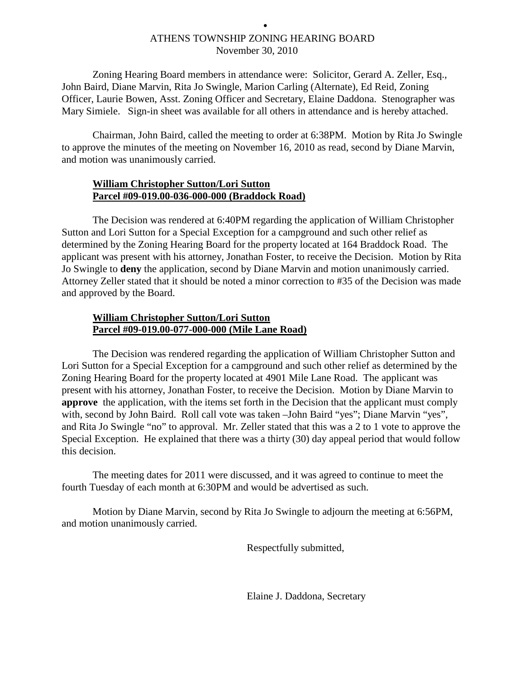# ATHENS TOWNSHIP ZONING HEARING BOARD November 30, 2010

•

Zoning Hearing Board members in attendance were: Solicitor, Gerard A. Zeller, Esq., John Baird, Diane Marvin, Rita Jo Swingle, Marion Carling (Alternate), Ed Reid, Zoning Officer, Laurie Bowen, Asst. Zoning Officer and Secretary, Elaine Daddona. Stenographer was Mary Simiele. Sign-in sheet was available for all others in attendance and is hereby attached.

Chairman, John Baird, called the meeting to order at 6:38PM. Motion by Rita Jo Swingle to approve the minutes of the meeting on November 16, 2010 as read, second by Diane Marvin, and motion was unanimously carried.

## **William Christopher Sutton/Lori Sutton Parcel #09-019.00-036-000-000 (Braddock Road)**

 The Decision was rendered at 6:40PM regarding the application of William Christopher Sutton and Lori Sutton for a Special Exception for a campground and such other relief as determined by the Zoning Hearing Board for the property located at 164 Braddock Road. The applicant was present with his attorney, Jonathan Foster, to receive the Decision. Motion by Rita Jo Swingle to **deny** the application, second by Diane Marvin and motion unanimously carried. Attorney Zeller stated that it should be noted a minor correction to #35 of the Decision was made and approved by the Board.

## **William Christopher Sutton/Lori Sutton Parcel #09-019.00-077-000-000 (Mile Lane Road)**

 The Decision was rendered regarding the application of William Christopher Sutton and Lori Sutton for a Special Exception for a campground and such other relief as determined by the Zoning Hearing Board for the property located at 4901 Mile Lane Road. The applicant was present with his attorney, Jonathan Foster, to receive the Decision. Motion by Diane Marvin to **approve** the application, with the items set forth in the Decision that the applicant must comply with, second by John Baird. Roll call vote was taken –John Baird "yes"; Diane Marvin "yes", and Rita Jo Swingle "no" to approval. Mr. Zeller stated that this was a 2 to 1 vote to approve the Special Exception. He explained that there was a thirty (30) day appeal period that would follow this decision.

 The meeting dates for 2011 were discussed, and it was agreed to continue to meet the fourth Tuesday of each month at 6:30PM and would be advertised as such.

 Motion by Diane Marvin, second by Rita Jo Swingle to adjourn the meeting at 6:56PM, and motion unanimously carried.

Respectfully submitted,